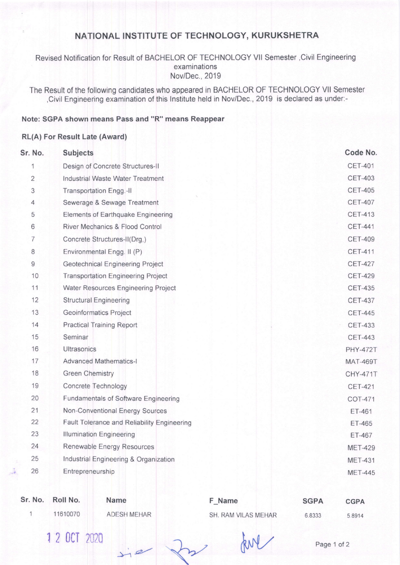# NATIONAL INSTITUTE OF TECHNOLOGY, KURUKSHETRA

### Revised Notification for Result of BACHELOR OF TECHNOLOGY Vll Semester,Civil Engineering examinations Nov/Dec.,2019

The Result of the following candidates who appeared in BACHELOR OF TECHNOLOGY Vll Semester ,Civil Engineering examination of this lnstitute held in Nov/Dec., 2019 is declared as under:-

#### Note: SGPA shown means Pass and "R" means Reappear

#### RL(A) For Result Late (Award)

| Sr. No.        | <b>Subjects</b>                             |                 |  |  |
|----------------|---------------------------------------------|-----------------|--|--|
| 1              | Design of Concrete Structures-II            | <b>CET-401</b>  |  |  |
| $\overline{2}$ | Industrial Waste Water Treatment            | <b>CET-403</b>  |  |  |
| 3              | Transportation Engg.-II                     | <b>CET-405</b>  |  |  |
| 4              | Sewerage & Sewage Treatment                 | <b>CET-407</b>  |  |  |
| 5              | Elements of Earthquake Engineering          | <b>CET-413</b>  |  |  |
| 6              | <b>River Mechanics &amp; Flood Control</b>  | <b>CET-441</b>  |  |  |
| $\overline{7}$ | Concrete Structures-II(Drg,)                | <b>CET-409</b>  |  |  |
| 8              | Environmental Engg. II (P)                  | <b>CET-411</b>  |  |  |
| 9              | Geotechnical Engineering Project            | <b>CET-427</b>  |  |  |
| 10             | <b>Transportation Engineering Project</b>   | <b>CET-429</b>  |  |  |
| 11             | Water Resources Engineering Project         | <b>CET-435</b>  |  |  |
| 12             | <b>Structural Engineering</b>               | <b>CET-437</b>  |  |  |
| 13             | Geoinformatics Project                      | <b>CET-445</b>  |  |  |
| 14             | <b>Practical Training Report</b>            | <b>CET-433</b>  |  |  |
| 15             | Seminar                                     | <b>CET-443</b>  |  |  |
| 16             | Ultrasonics                                 |                 |  |  |
| 17             | <b>Advanced Mathematics-I</b>               | <b>MAT-469T</b> |  |  |
| 18             | <b>Green Chemistry</b>                      | <b>CHY-471T</b> |  |  |
| 19             | Concrete Technology                         | <b>CET-421</b>  |  |  |
| 20             | Fundamentals of Software Engineering        | COT-471         |  |  |
| 21             | <b>Non-Conventional Energy Sources</b>      | <b>ET-461</b>   |  |  |
| 22             | Fault Tolerance and Reliability Engineering | <b>ET-465</b>   |  |  |
| 23             | <b>Illumination Engineering</b>             | ET-467          |  |  |
| 24             | Renewable Energy Resources                  | <b>MET-429</b>  |  |  |
| 25             | Industrial Engineering & Organization       | <b>MET-431</b>  |  |  |
| 26             | Entrepreneurship                            | <b>MET-445</b>  |  |  |
|                |                                             |                 |  |  |

| Sr. No. | Roll No.     | <b>Name</b>        | F Name              | <b>SGPA</b> | <b>CGPA</b> |
|---------|--------------|--------------------|---------------------|-------------|-------------|
|         | 11610070     | <b>ADESH MEHAR</b> | SH. RAM VILAS MEHAR | 6.8333      | 5.8914      |
|         | 1 2 OCT 2020 |                    |                     | Page 1 of 2 |             |